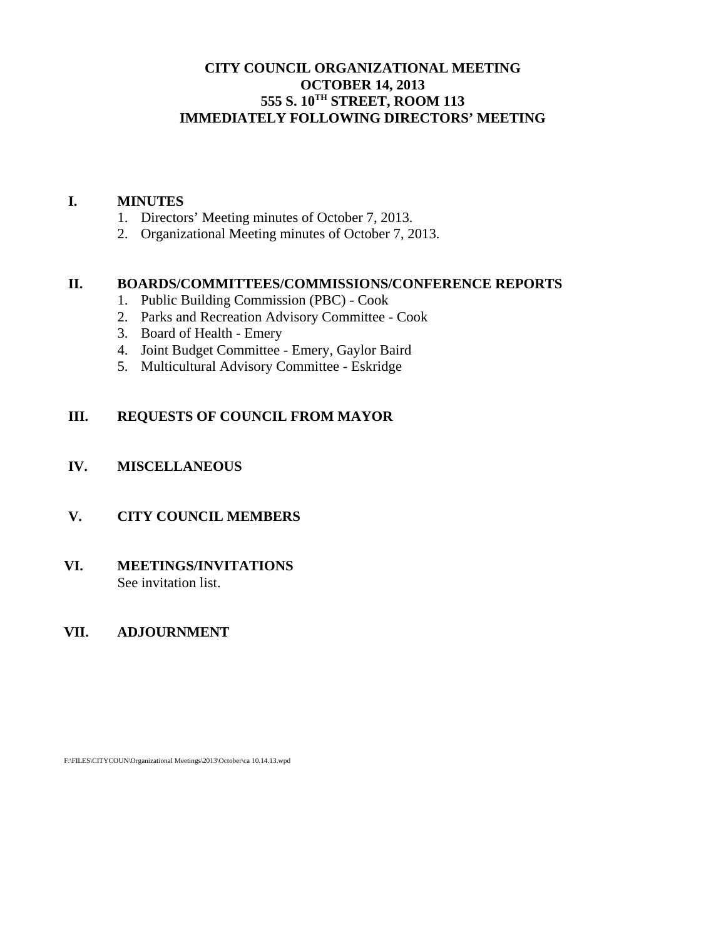# **CITY COUNCIL ORGANIZATIONAL MEETING OCTOBER 14, 2013 555 S. 10TH STREET, ROOM 113 IMMEDIATELY FOLLOWING DIRECTORS' MEETING**

#### **I. MINUTES**

- 1. Directors' Meeting minutes of October 7, 2013.
- 2. Organizational Meeting minutes of October 7, 2013.

### **II. BOARDS/COMMITTEES/COMMISSIONS/CONFERENCE REPORTS**

- 1. Public Building Commission (PBC) Cook
- 2. Parks and Recreation Advisory Committee Cook
- 3. Board of Health Emery
- 4. Joint Budget Committee Emery, Gaylor Baird
- 5. Multicultural Advisory Committee Eskridge

#### **III. REQUESTS OF COUNCIL FROM MAYOR**

#### **IV. MISCELLANEOUS**

## **V. CITY COUNCIL MEMBERS**

#### **VI. MEETINGS/INVITATIONS** See invitation list.

#### **VII. ADJOURNMENT**

F:\FILES\CITYCOUN\Organizational Meetings\2013\October\ca 10.14.13.wpd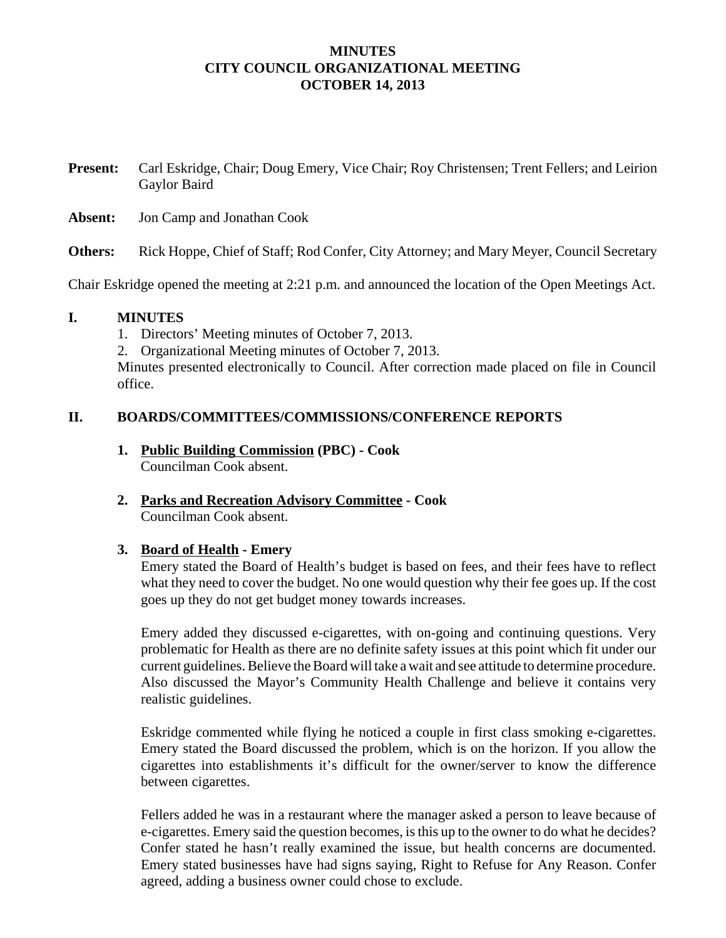### **MINUTES CITY COUNCIL ORGANIZATIONAL MEETING OCTOBER 14, 2013**

**Present:** Carl Eskridge, Chair; Doug Emery, Vice Chair; Roy Christensen; Trent Fellers; and Leirion Gaylor Baird

**Absent:** Jon Camp and Jonathan Cook

**Others:** Rick Hoppe, Chief of Staff; Rod Confer, City Attorney; and Mary Meyer, Council Secretary

Chair Eskridge opened the meeting at 2:21 p.m. and announced the location of the Open Meetings Act.

#### **I. MINUTES**

1. Directors' Meeting minutes of October 7, 2013.

2. Organizational Meeting minutes of October 7, 2013.

Minutes presented electronically to Council. After correction made placed on file in Council office.

### **II. BOARDS/COMMITTEES/COMMISSIONS/CONFERENCE REPORTS**

- **1. Public Building Commission (PBC) Cook** Councilman Cook absent.
- **2. Parks and Recreation Advisory Committee Cook** Councilman Cook absent.

# **3. Board of Health - Emery**

Emery stated the Board of Health's budget is based on fees, and their fees have to reflect what they need to cover the budget. No one would question why their fee goes up. If the cost goes up they do not get budget money towards increases.

Emery added they discussed e-cigarettes, with on-going and continuing questions. Very problematic for Health as there are no definite safety issues at this point which fit under our current guidelines. Believe the Board will take a wait and see attitude to determine procedure. Also discussed the Mayor's Community Health Challenge and believe it contains very realistic guidelines.

Eskridge commented while flying he noticed a couple in first class smoking e-cigarettes. Emery stated the Board discussed the problem, which is on the horizon. If you allow the cigarettes into establishments it's difficult for the owner/server to know the difference between cigarettes.

Fellers added he was in a restaurant where the manager asked a person to leave because of e-cigarettes. Emery said the question becomes, is this up to the owner to do what he decides? Confer stated he hasn't really examined the issue, but health concerns are documented. Emery stated businesses have had signs saying, Right to Refuse for Any Reason. Confer agreed, adding a business owner could chose to exclude.